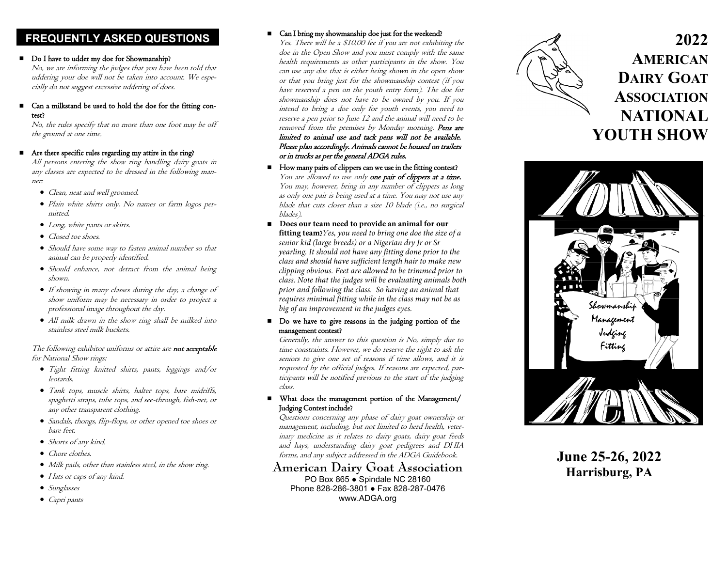# **FREQUENTLY ASKED QUESTIONS**

#### Do I have to udder my doe for Showmanship?

No, we are informing the judges that you have been told that uddering your doe will not be taken into account. We especially do not suggest excessive uddering of does.

 Can a milkstand be used to hold the doe for the fitting contest?

No, the rules specify that no more than one foot may be off the ground at one time.

#### Are there specific rules regarding my attire in the ring?

All persons entering the show ring handling dairy goats in any classes are expected to be dressed in the following manner:

- Clean, neat and well groomed.
- Plain white shirts only. No names or farm logos permitted.
- Long, white pants or skirts.
- Closed toe shoes.
- Should have some way to fasten animal number so that animal can be properly identified.
- Should enhance, not detract from the animal being shown.
- If showing in many classes during the day, a change of show uniform may be necessary in order to project a professional image throughout the day.
- All milk drawn in the show ring shall be milked into stainless steel milk buckets.

#### The following exhibitor uniforms or attire are not acceptable for National Show rings:

- Tight fitting knitted shirts, pants, leggings and/or leotards.
- Tank tops, muscle shirts, halter tops, bare midriffs, spaghetti straps, tube tops, and see-through, fish-net, or any other transparent clothing.
- Sandals, thongs, flip-flops, or other opened toe shoes or bare feet.
- Shorts of any kind.
- Chore clothes.
- Milk pails, other than stainless steel, in the show ring.
- Hats or caps of any kind.
- Sunglasses
- Capri pants

## ■ Can I bring my showmanship doe just for the weekend?

Yes. There will be a \$10.00 fee if you are not exhibiting the doe in the Open Show and you must comply with the same health requirements as other participants in the show. You can use any doe that is either being shown in the open show or that you bring just for the showmanship contest (if you have reserved a pen on the youth entry form). The doe for showmanship does not have to be owned by you. If you intend to bring a doe only for youth events, you need to reserve a pen prior to June 12 and the animal will need to be removed from the premises by Monday morning. Pens are limited to animal use and tack pens will not be available. Please plan accordingly. Animals cannot be housed on trailers or in trucks as per the general ADGA rules.

- How many pairs of clippers can we use in the fitting contest? You are allowed to use only one pair of clippers at a time. You may, however, bring in any number of clippers as long as only one pair is being used at a time. You may not use any blade that cuts closer than a size 10 blade (i.e., no surgical blades).
- Does our team need to provide an animal for our **fitting team?**Yes, you need to bring one doe the size of a *senior kid (large breeds) or a Nigerian dry Jr or Sr yearling. It should not have any fitting done prior to the class and should have sufficient length hair to make new clipping obvious. Feet are allowed to be trimmed prior to class. Note that the judges will be evaluating animals both prior and following the class. So having an animal that requires minimal fitting while in the class may not be as big of an improvement in the judges eyes.*
- Do we have to give reasons in the judging portion of the management contest?

Generally, the answer to this question is No, simply due to time constraints. However, we do reserve the right to ask the seniors to give one set of reasons if time allows, and it is requested by the official judges. If reasons are expected, participants will be notified previous to the start of the judging class.

 What does the management portion of the Management/ Judging Contest include?

Questions concerning any phase of dairy goat ownership or management, including, but not limited to herd health, veterinary medicine as it relates to dairy goats, dairy goat feeds and hays, understanding dairy goat pedigrees and DHIA forms, and any subject addressed in the ADGA Guidebook.

# **American Dairy Goat Association**

PO Box 865 · Spindale NC 28160 Phone 828 -286 -3801 ● Fax 828 -287 -0476 www.ADGA.org



# **2022 AMERICAN DAIRY GOAT ASSOCIATION NATIONAL YOUTH SHOW**



**June 25-26, 2022 Harrisburg, PA**